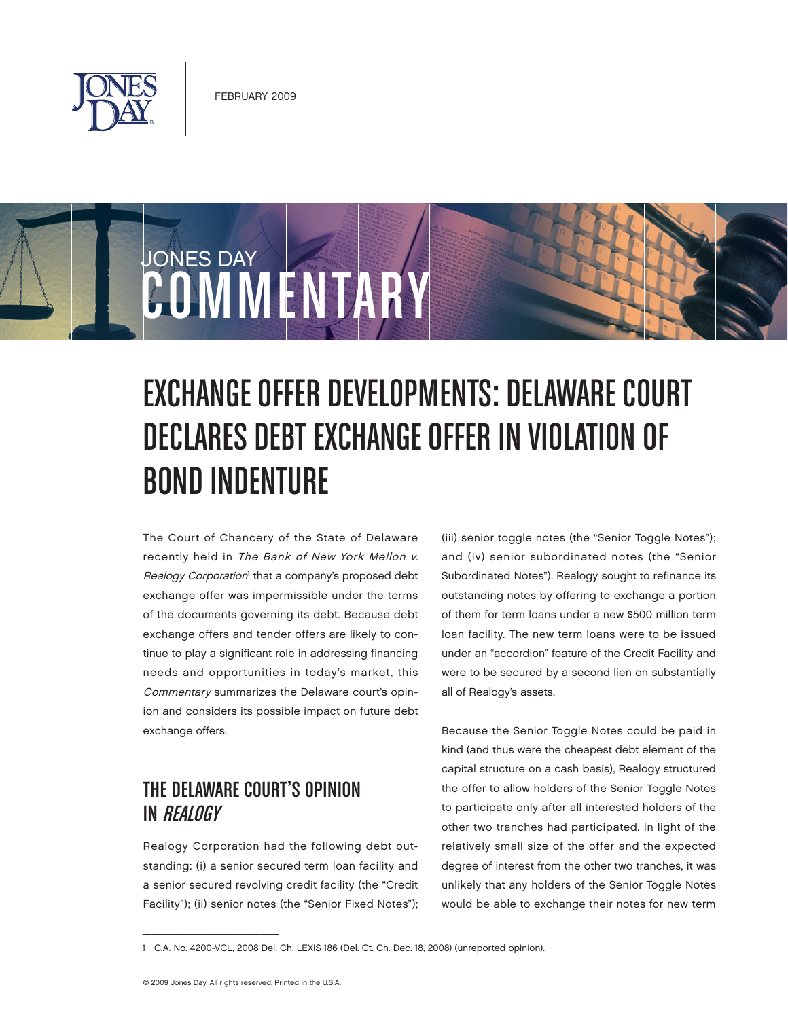

# JONES DAY COMMENTARY

# EXCHANGE OFFER DEVELOPMENTS: DELAWARE COURT DECLARES DEBT EXCHANGE OFFER IN VIOLATION OF BOND INDENTURE

The Court of Chancery of the State of Delaware recently held in The Bank of New York Mellon v. Realogy Corporation<sup>1</sup> that a company's proposed debt exchange offer was impermissible under the terms of the documents governing its debt. Because debt exchange offers and tender offers are likely to continue to play a significant role in addressing financing needs and opportunities in today's market, this Commentary summarizes the Delaware court's opinion and considers its possible impact on future debt exchange offers.

## THE DELAWARE COURT'S OPINION IN REALOGY

Realogy Corporation had the following debt outstanding: (i) a senior secured term loan facility and a senior secured revolving credit facility (the "Credit Facility"); (ii) senior notes (the "Senior Fixed Notes");

(iii) senior toggle notes (the "Senior Toggle Notes"); and (iv) senior subordinated notes (the "Senior Subordinated Notes"). Realogy sought to refinance its outstanding notes by offering to exchange a portion of them for term loans under a new \$500 million term loan facility. The new term loans were to be issued under an "accordion" feature of the Credit Facility and were to be secured by a second lien on substantially all of Realogy's assets.

Because the Senior Toggle Notes could be paid in kind (and thus were the cheapest debt element of the capital structure on a cash basis), Realogy structured the offer to allow holders of the Senior Toggle Notes to participate only after all interested holders of the other two tranches had participated. In light of the relatively small size of the offer and the expected degree of interest from the other two tranches, it was unlikely that any holders of the Senior Toggle Notes would be able to exchange their notes for new term

 $\overline{\phantom{a}}$  , which is a set of the set of the set of the set of the set of the set of the set of the set of the set of the set of the set of the set of the set of the set of the set of the set of the set of the set of th

<sup>1</sup> C.A. No. 4200-VCL, 2008 Del. Ch. LEXIS 186 (Del. Ct. Ch. Dec. 18, 2008) (unreported opinion).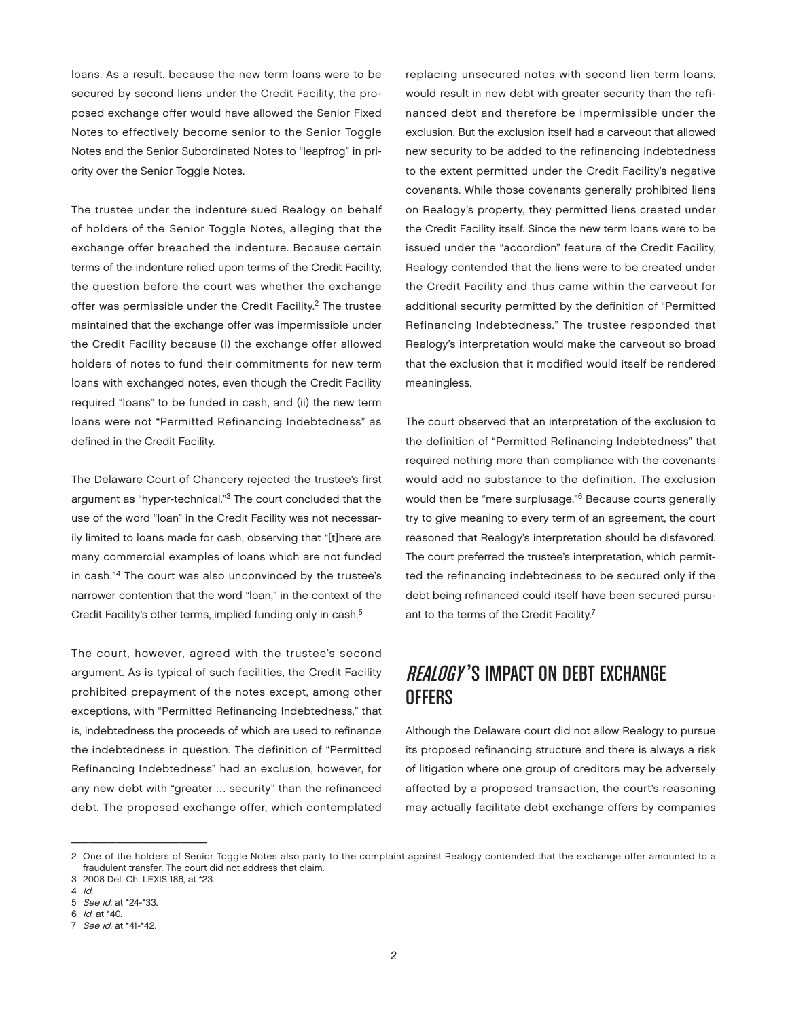loans. As a result, because the new term loans were to be secured by second liens under the Credit Facility, the proposed exchange offer would have allowed the Senior Fixed Notes to effectively become senior to the Senior Toggle Notes and the Senior Subordinated Notes to "leapfrog" in priority over the Senior Toggle Notes.

The trustee under the indenture sued Realogy on behalf of holders of the Senior Toggle Notes, alleging that the exchange offer breached the indenture. Because certain terms of the indenture relied upon terms of the Credit Facility, the question before the court was whether the exchange offer was permissible under the Credit Facility.<sup>2</sup> The trustee maintained that the exchange offer was impermissible under the Credit Facility because (i) the exchange offer allowed holders of notes to fund their commitments for new term loans with exchanged notes, even though the Credit Facility required "loans" to be funded in cash, and (ii) the new term loans were not "Permitted Refinancing Indebtedness" as defined in the Credit Facility.

The Delaware Court of Chancery rejected the trustee's first argument as "hyper-technical."3 The court concluded that the use of the word "loan" in the Credit Facility was not necessarily limited to loans made for cash, observing that "[t]here are many commercial examples of loans which are not funded in cash."4 The court was also unconvinced by the trustee's narrower contention that the word "loan," in the context of the Credit Facility's other terms, implied funding only in cash.<sup>5</sup>

The court, however, agreed with the trustee's second argument. As is typical of such facilities, the Credit Facility prohibited prepayment of the notes except, among other exceptions, with "Permitted Refinancing Indebtedness," that is, indebtedness the proceeds of which are used to refinance the indebtedness in question. The definition of "Permitted Refinancing Indebtedness" had an exclusion, however, for any new debt with "greater … security" than the refinanced debt. The proposed exchange offer, which contemplated

replacing unsecured notes with second lien term loans, would result in new debt with greater security than the refinanced debt and therefore be impermissible under the exclusion. But the exclusion itself had a carveout that allowed new security to be added to the refinancing indebtedness to the extent permitted under the Credit Facility's negative covenants. While those covenants generally prohibited liens on Realogy's property, they permitted liens created under the Credit Facility itself. Since the new term loans were to be issued under the "accordion" feature of the Credit Facility, Realogy contended that the liens were to be created under the Credit Facility and thus came within the carveout for additional security permitted by the definition of "Permitted Refinancing Indebtedness." The trustee responded that Realogy's interpretation would make the carveout so broad that the exclusion that it modified would itself be rendered meaningless.

The court observed that an interpretation of the exclusion to the definition of "Permitted Refinancing Indebtedness" that required nothing more than compliance with the covenants would add no substance to the definition. The exclusion would then be "mere surplusage."6 Because courts generally try to give meaning to every term of an agreement, the court reasoned that Realogy's interpretation should be disfavored. The court preferred the trustee's interpretation, which permitted the refinancing indebtedness to be secured only if the debt being refinanced could itself have been secured pursuant to the terms of the Credit Facility.<sup>7</sup>

### REALOGY'S IMPACT ON DEBT EXCHANGE OFFERS

Although the Delaware court did not allow Realogy to pursue its proposed refinancing structure and there is always a risk of litigation where one group of creditors may be adversely affected by a proposed transaction, the court's reasoning may actually facilitate debt exchange offers by companies

 $\frac{1}{2}$  ,  $\frac{1}{2}$  ,  $\frac{1}{2}$  ,  $\frac{1}{2}$  ,  $\frac{1}{2}$  ,  $\frac{1}{2}$  ,  $\frac{1}{2}$  ,  $\frac{1}{2}$  ,  $\frac{1}{2}$  ,  $\frac{1}{2}$  ,  $\frac{1}{2}$  ,  $\frac{1}{2}$  ,  $\frac{1}{2}$  ,  $\frac{1}{2}$  ,  $\frac{1}{2}$  ,  $\frac{1}{2}$  ,  $\frac{1}{2}$  ,  $\frac{1}{2}$  ,  $\frac{1$ 

<sup>2</sup> One of the holders of Senior Toggle Notes also party to the complaint against Realogy contended that the exchange offer amounted to a fraudulent transfer. The court did not address that claim.

<sup>3</sup> 2008 Del. Ch. LEXIS 186, at \*23.

<sup>4</sup> Id.

<sup>5</sup> See id. at \*24-\*33. 6 Id. at \*40.

<sup>7</sup> See id. at \*41-\*42.